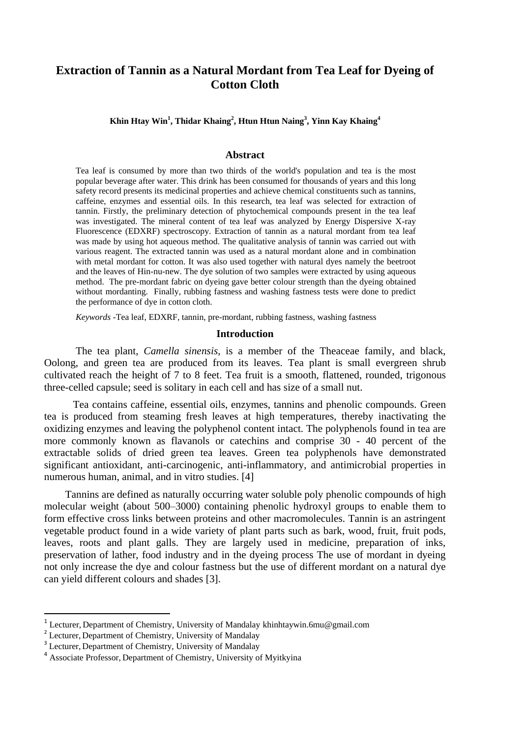# **Extraction of Tannin as a Natural Mordant from Tea Leaf for Dyeing of Cotton Cloth**

**Khin Htay Win<sup>1</sup> , Thidar Khaing<sup>2</sup> , Htun Htun Naing<sup>3</sup> , Yinn Kay Khaing<sup>4</sup>**

#### **Abstract**

Tea leaf is consumed by more than two thirds of the world's population and tea is the most popular beverage after water. This drink has been consumed for thousands of years and this long safety record presents its medicinal properties and achieve chemical constituents such as tannins, caffeine, enzymes and essential oils. In this research, tea leaf was selected for extraction of tannin. Firstly, the preliminary detection of phytochemical compounds present in the tea leaf was investigated. The mineral content of tea leaf was analyzed by Energy Dispersive X-ray Fluorescence (EDXRF) spectroscopy. Extraction of tannin as a natural mordant from tea leaf was made by using hot aqueous method. The qualitative analysis of tannin was carried out with various reagent. The extracted tannin was used as a natural mordant alone and in combination with metal mordant for cotton. It was also used together with natural dyes namely the beetroot and the leaves of Hin-nu-new. The dye solution of two samples were extracted by using aqueous method. The pre-mordant fabric on dyeing gave better colour strength than the dyeing obtained without mordanting. Finally, rubbing fastness and washing fastness tests were done to predict the performance of dye in cotton cloth.

*Keywords* -Tea leaf, EDXRF, tannin, pre-mordant, rubbing fastness, washing fastness

#### **Introduction**

The tea plant, *Camella sinensis*, is a member of the Theaceae family, and black, Oolong, and green tea are produced from its leaves. Tea plant is small evergreen shrub cultivated reach the height of 7 to 8 feet. Tea fruit is a smooth, flattened, rounded, trigonous three-celled capsule; seed is solitary in each cell and has size of a small nut.

 Tea contains caffeine, essential oils, enzymes, tannins and phenolic compounds. Green tea is produced from steaming fresh leaves at high temperatures, thereby inactivating the oxidizing enzymes and leaving the polyphenol content intact. The polyphenols found in tea are more commonly known as flavanols or catechins and comprise 30 - 40 percent of the extractable solids of dried green tea leaves. Green tea polyphenols have demonstrated significant antioxidant, anti-carcinogenic, anti-inflammatory, and antimicrobial properties in numerous human, animal, and in vitro studies. [4]

 Tannins are defined as naturally occurring water soluble poly phenolic compounds of high molecular weight (about 500–3000) containing phenolic hydroxyl groups to enable them to form effective cross links between proteins and other macromolecules. Tannin is an astringent vegetable product found in a wide variety of plant parts such as bark, wood, fruit, fruit pods, leaves, roots and plant galls. They are largely used in medicine, preparation of inks, preservation of lather, food industry and in the dyeing process The use of mordant in dyeing not only increase the dye and colour fastness but the use of different mordant on a natural dye can yield different colours and shades [3].

 $\overline{a}$ 

<sup>&</sup>lt;sup>1</sup> Lecturer, Department of Chemistry, University of Mandalay khinhtaywin.6mu@gmail.com

<sup>&</sup>lt;sup>2</sup> Lecturer, Department of Chemistry, University of Mandalay

<sup>&</sup>lt;sup>3</sup> Lecturer, Department of Chemistry, University of Mandalay

<sup>4</sup> Associate Professor, Department of Chemistry, University of Myitkyina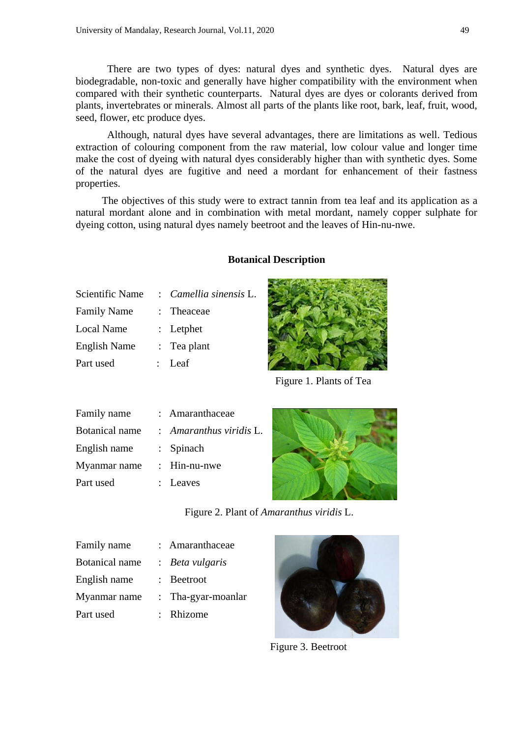There are two types of dyes: natural dyes and synthetic dyes. Natural dyes are biodegradable, non-toxic and generally have higher compatibility with the environment when compared with their synthetic counterparts. Natural dyes are dyes or colorants derived from plants, invertebrates or minerals. Almost all parts of the plants like root, bark, leaf, fruit, wood, seed, flower, etc produce dyes.

Although, natural dyes have several advantages, there are limitations as well. Tedious extraction of colouring component from the raw material, low colour value and longer time make the cost of dyeing with natural dyes considerably higher than with synthetic dyes. Some of the natural dyes are fugitive and need a mordant for enhancement of their fastness properties.

 The objectives of this study were to extract tannin from tea leaf and its application as a natural mordant alone and in combination with metal mordant, namely copper sulphate for dyeing cotton, using natural dyes namely beetroot and the leaves of Hin-nu-nwe.

## **Botanical Description**

| Scientific Name     | : Camellia sinensis L. |
|---------------------|------------------------|
| <b>Family Name</b>  | : Theaceae             |
| Local Name          | $: \mathsf{Let}$       |
| <b>English Name</b> | $\therefore$ Tea plant |
| Part used           | : Leaf                 |
|                     |                        |



Figure 1. Plants of Tea

| Family name           | : Amaranthaceae         |
|-----------------------|-------------------------|
| <b>Botanical</b> name | : Amaranthus viridis L. |
| English name          | $:$ Spinach             |
| Myanmar name          | : Hin-nu-nwe            |
| Part used             | : Leaves                |



Figure 2. Plant of *Amaranthus viridis* L.

| Family name           | : Amaranthaceae    |
|-----------------------|--------------------|
| <b>Botanical</b> name | : Beta vulgaris    |
| English name          | : Beetroot         |
| Myanmar name          | : Tha-gyar-moanlar |
| Part used             | : Rhizome          |



Figure 3. Beetroot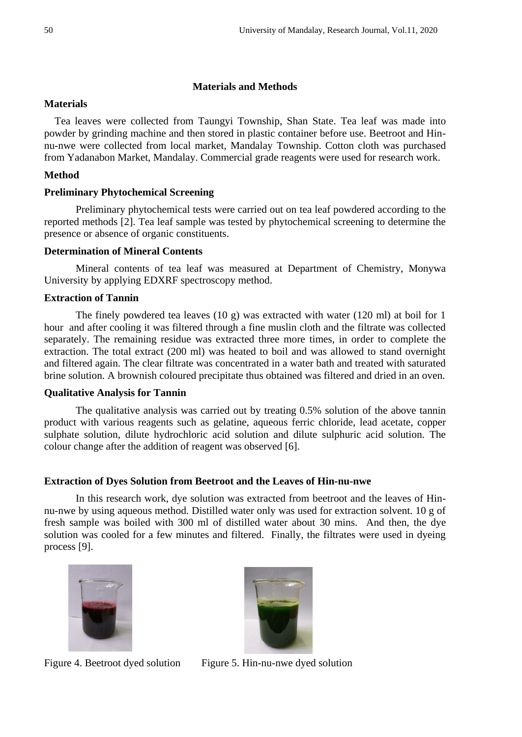## **Materials and Methods**

## **Materials**

 Tea leaves were collected from Taungyi Township, Shan State. Tea leaf was made into powder by grinding machine and then stored in plastic container before use. Beetroot and Hinnu-nwe were collected from local market, Mandalay Township. Cotton cloth was purchased from Yadanabon Market, Mandalay. Commercial grade reagents were used for research work.

## **Method**

## **Preliminary Phytochemical Screening**

Preliminary phytochemical tests were carried out on tea leaf powdered according to the reported methods [2]. Tea leaf sample was tested by phytochemical screening to determine the presence or absence of organic constituents.

### **Determination of Mineral Contents**

Mineral contents of tea leaf was measured at Department of Chemistry, Monywa University by applying EDXRF spectroscopy method.

## **Extraction of Tannin**

The finely powdered tea leaves (10 g) was extracted with water (120 ml) at boil for 1 hour and after cooling it was filtered through a fine muslin cloth and the filtrate was collected separately. The remaining residue was extracted three more times, in order to complete the extraction. The total extract (200 ml) was heated to boil and was allowed to stand overnight and filtered again. The clear filtrate was concentrated in a water bath and treated with saturated brine solution. A brownish coloured precipitate thus obtained was filtered and dried in an oven.

### **Qualitative Analysis for Tannin**

The qualitative analysis was carried out by treating 0.5% solution of the above tannin product with various reagents such as gelatine, aqueous ferric chloride, lead acetate, copper sulphate solution, dilute hydrochloric acid solution and dilute sulphuric acid solution. The colour change after the addition of reagent was observed [6].

### **Extraction of Dyes Solution from Beetroot and the Leaves of Hin-nu-nwe**

In this research work, dye solution was extracted from beetroot and the leaves of Hinnu-nwe by using aqueous method. Distilled water only was used for extraction solvent. 10 g of fresh sample was boiled with 300 ml of distilled water about 30 mins. And then, the dye solution was cooled for a few minutes and filtered. Finally, the filtrates were used in dyeing process [9].





Figure 4. Beetroot dyed solution Figure 5. Hin-nu-nwe dyed solution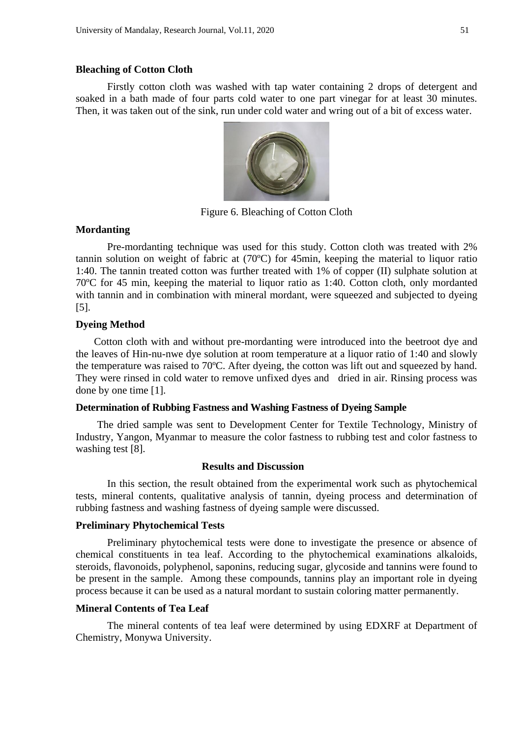#### **Bleaching of Cotton Cloth**

Firstly cotton cloth was washed with tap water containing 2 drops of detergent and soaked in a bath made of four parts cold water to one part vinegar for at least 30 minutes. Then, it was taken out of the sink, run under cold water and wring out of a bit of excess water.



Figure 6. Bleaching of Cotton Cloth

#### **Mordanting**

Pre-mordanting technique was used for this study. Cotton cloth was treated with 2% tannin solution on weight of fabric at (70ºC) for 45min, keeping the material to liquor ratio 1:40. The tannin treated cotton was further treated with 1% of copper (II) sulphate solution at 70ºC for 45 min, keeping the material to liquor ratio as 1:40. Cotton cloth, only mordanted with tannin and in combination with mineral mordant, were squeezed and subjected to dyeing [5].

## **Dyeing Method**

 Cotton cloth with and without pre-mordanting were introduced into the beetroot dye and the leaves of Hin-nu-nwe dye solution at room temperature at a liquor ratio of 1:40 and slowly the temperature was raised to 70ºC. After dyeing, the cotton was lift out and squeezed by hand. They were rinsed in cold water to remove unfixed dyes and dried in air. Rinsing process was done by one time [1].

### **Determination of Rubbing Fastness and Washing Fastness of Dyeing Sample**

The dried sample was sent to Development Center for Textile Technology, Ministry of Industry, Yangon, Myanmar to measure the color fastness to rubbing test and color fastness to washing test [8].

#### **Results and Discussion**

In this section, the result obtained from the experimental work such as phytochemical tests, mineral contents, qualitative analysis of tannin, dyeing process and determination of rubbing fastness and washing fastness of dyeing sample were discussed.

#### **Preliminary Phytochemical Tests**

Preliminary phytochemical tests were done to investigate the presence or absence of chemical constituents in tea leaf. According to the phytochemical examinations alkaloids, steroids, flavonoids, polyphenol, saponins, reducing sugar, glycoside and tannins were found to be present in the sample. Among these compounds, tannins play an important role in dyeing process because it can be used as a natural mordant to sustain coloring matter permanently.

#### **Mineral Contents of Tea Leaf**

The mineral contents of tea leaf were determined by using EDXRF at Department of Chemistry, Monywa University.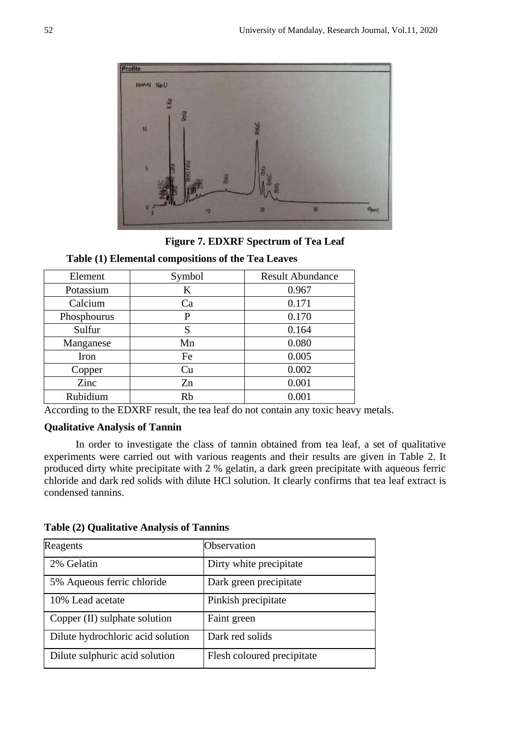

**Figure 7. EDXRF Spectrum of Tea Leaf**

## **Table (1) Elemental compositions of the Tea Leaves**

| Element     | Symbol | <b>Result Abundance</b> |
|-------------|--------|-------------------------|
| Potassium   | K      | 0.967                   |
| Calcium     | Ca     | 0.171                   |
| Phosphourus | P      | 0.170                   |
| Sulfur      | S      | 0.164                   |
| Manganese   | Mn     | 0.080                   |
| Iron        | Fe     | 0.005                   |
| Copper      | Cu     | 0.002                   |
| Zinc        | Zn     | 0.001                   |
| Rubidium    | Rb     | 0.001                   |

According to the EDXRF result, the tea leaf do not contain any toxic heavy metals.

## **Qualitative Analysis of Tannin**

In order to investigate the class of tannin obtained from tea leaf, a set of qualitative experiments were carried out with various reagents and their results are given in Table 2. It produced dirty white precipitate with 2 % gelatin, a dark green precipitate with aqueous ferric chloride and dark red solids with dilute HCl solution. It clearly confirms that tea leaf extract is condensed tannins.

| Reagents                          | Observation                |
|-----------------------------------|----------------------------|
| 2% Gelatin                        | Dirty white precipitate    |
| 5% Aqueous ferric chloride        | Dark green precipitate     |
| 10% Lead acetate                  | Pinkish precipitate        |
| Copper (II) sulphate solution     | Faint green                |
| Dilute hydrochloric acid solution | Dark red solids            |
| Dilute sulphuric acid solution    | Flesh coloured precipitate |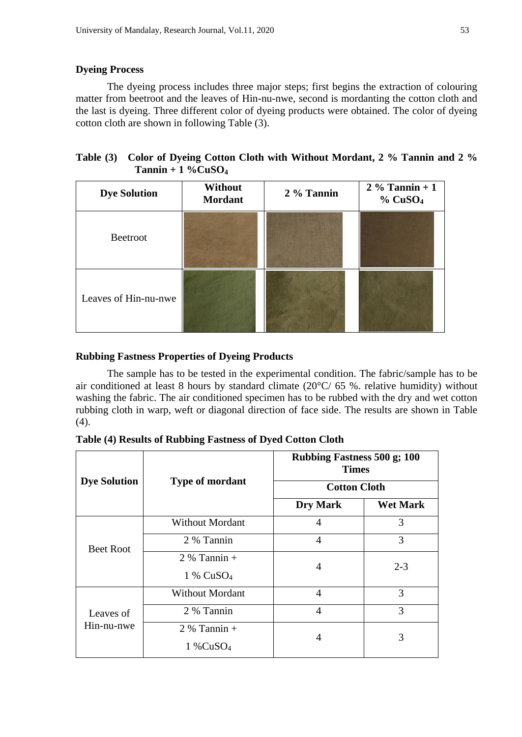# **Dyeing Process**

The dyeing process includes three major steps; first begins the extraction of colouring matter from beetroot and the leaves of Hin-nu-nwe, second is mordanting the cotton cloth and the last is dyeing. Three different color of dyeing products were obtained. The color of dyeing cotton cloth are shown in following Table (3).

| Table (3) Color of Dyeing Cotton Cloth with Without Mordant, 2 % Tannin and 2 % |
|---------------------------------------------------------------------------------|
| $Tannin + 1 \% C uSO4$                                                          |

| <b>Dye Solution</b>  | Without<br><b>Mordant</b> | 2 % Tannin | $2\%$ Tannin + 1<br>$%$ CuSO <sub>4</sub> |
|----------------------|---------------------------|------------|-------------------------------------------|
| <b>Beetroot</b>      |                           |            |                                           |
| Leaves of Hin-nu-nwe |                           |            |                                           |

# **Rubbing Fastness Properties of Dyeing Products**

The sample has to be tested in the experimental condition. The fabric/sample has to be air conditioned at least 8 hours by standard climate (20°C/ 65 %. relative humidity) without washing the fabric. The air conditioned specimen has to be rubbed with the dry and wet cotton rubbing cloth in warp, weft or diagonal direction of face side. The results are shown in Table  $(4).$ 

**Table (4) Results of Rubbing Fastness of Dyed Cotton Cloth** 

|                         | <b>Type of mordant</b>                    | <b>Rubbing Fastness 500 g; 100</b><br><b>Times</b><br><b>Cotton Cloth</b> |                 |
|-------------------------|-------------------------------------------|---------------------------------------------------------------------------|-----------------|
| <b>Dye Solution</b>     |                                           |                                                                           |                 |
|                         |                                           | <b>Dry Mark</b>                                                           | <b>Wet Mark</b> |
| <b>Beet Root</b>        | <b>Without Mordant</b>                    | 4                                                                         | 3               |
|                         | 2 % Tannin                                | 4                                                                         | 3               |
|                         | $2\%$ Tannin +<br>$1\%$ CuSO <sub>4</sub> | 4                                                                         | $2 - 3$         |
| Leaves of<br>Hin-nu-nwe | <b>Without Mordant</b>                    | 4                                                                         | 3               |
|                         | 2 % Tannin                                | 4                                                                         | 3               |
|                         | $2%$ Tannin +<br>$1\%CuSO4$               | 4                                                                         | 3               |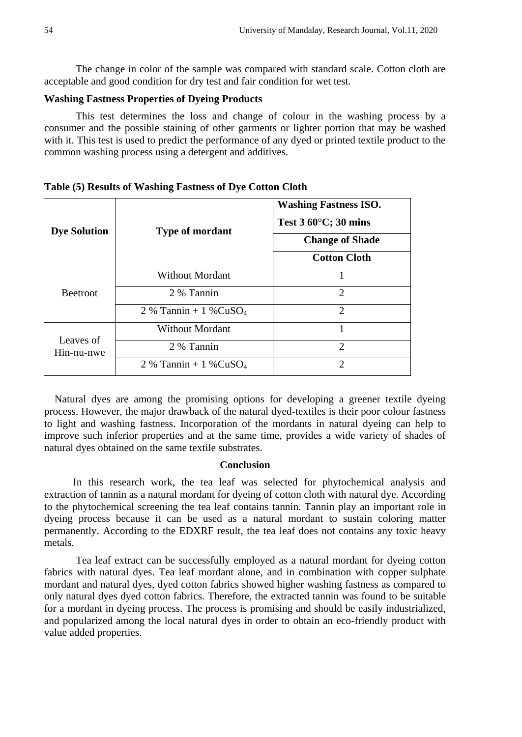The change in color of the sample was compared with standard scale. Cotton cloth are acceptable and good condition for dry test and fair condition for wet test.

## **Washing Fastness Properties of Dyeing Products**

This test determines the loss and change of colour in the washing process by a consumer and the possible staining of other garments or lighter portion that may be washed with it. This test is used to predict the performance of any dyed or printed textile product to the common washing process using a detergent and additives.

| <b>Dye Solution</b>     | <b>Type of mordant</b>               | <b>Washing Fastness ISO.</b><br>Test $360^{\circ}$ C; $30$ mins<br><b>Change of Shade</b><br><b>Cotton Cloth</b> |
|-------------------------|--------------------------------------|------------------------------------------------------------------------------------------------------------------|
| <b>Beetroot</b>         | <b>Without Mordant</b>               |                                                                                                                  |
|                         | 2 % Tannin                           | $\mathcal{D}_{\mathcal{L}}$                                                                                      |
|                         | 2 % Tannin + $1\%$ CuSO <sub>4</sub> | $\overline{2}$                                                                                                   |
| Leaves of<br>Hin-nu-nwe | <b>Without Mordant</b>               | 1                                                                                                                |
|                         | 2 % Tannin                           | $\overline{2}$                                                                                                   |
|                         | $2\%$ Tannin + 1 %CuSO <sub>4</sub>  | $\mathcal{D}$                                                                                                    |

**Table (5) Results of Washing Fastness of Dye Cotton Cloth** 

 Natural dyes are among the promising options for developing a greener textile dyeing process. However, the major drawback of the natural dyed-textiles is their poor colour fastness to light and washing fastness. Incorporation of the mordants in natural dyeing can help to improve such inferior properties and at the same time, provides a wide variety of shades of natural dyes obtained on the same textile substrates.

#### **Conclusion**

 In this research work, the tea leaf was selected for phytochemical analysis and extraction of tannin as a natural mordant for dyeing of cotton cloth with natural dye. According to the phytochemical screening the tea leaf contains tannin. Tannin play an important role in dyeing process because it can be used as a natural mordant to sustain coloring matter permanently. According to the EDXRF result, the tea leaf does not contains any toxic heavy metals.

Tea leaf extract can be successfully employed as a natural mordant for dyeing cotton fabrics with natural dyes. Tea leaf mordant alone, and in combination with copper sulphate mordant and natural dyes, dyed cotton fabrics showed higher washing fastness as compared to only natural dyes dyed cotton fabrics. Therefore, the extracted tannin was found to be suitable for a mordant in dyeing process. The process is promising and should be easily industrialized, and popularized among the local natural dyes in order to obtain an eco-friendly product with value added properties.